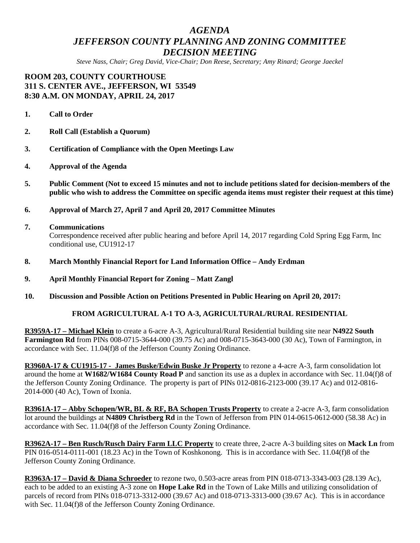# *AGENDA JEFFERSON COUNTY PLANNING AND ZONING COMMITTEE DECISION MEETING*

*Steve Nass, Chair; Greg David, Vice-Chair; Don Reese, Secretary; Amy Rinard; George Jaeckel*

**ROOM 203, COUNTY COURTHOUSE 311 S. CENTER AVE., JEFFERSON, WI 53549 8:30 A.M. ON MONDAY, APRIL 24, 2017**

- **1. Call to Order**
- **2. Roll Call (Establish a Quorum)**
- **3. Certification of Compliance with the Open Meetings Law**
- **4. Approval of the Agenda**
- **5. Public Comment (Not to exceed 15 minutes and not to include petitions slated for decision-members of the public who wish to address the Committee on specific agenda items must register their request at this time)**
- **6. Approval of March 27, April 7 and April 20, 2017 Committee Minutes**

#### **7. Communications**

Correspondence received after public hearing and before April 14, 2017 regarding Cold Spring Egg Farm, Inc conditional use, CU1912-17

- **8. March Monthly Financial Report for Land Information Office – Andy Erdman**
- **9. April Monthly Financial Report for Zoning – Matt Zangl**
- **10. Discussion and Possible Action on Petitions Presented in Public Hearing on April 20, 2017:**

### **FROM AGRICULTURAL A-1 TO A-3, AGRICULTURAL/RURAL RESIDENTIAL**

**R3959A-17 – Michael Klein** to create a 6-acre A-3, Agricultural/Rural Residential building site near **N4922 South Farmington Rd** from PINs 008-0715-3644-000 (39.75 Ac) and 008-0715-3643-000 (30 Ac), Town of Farmington, in accordance with Sec. 11.04(f)8 of the Jefferson County Zoning Ordinance.

**R3960A-17 & CU1915-17 - James Buske/Edwin Buske Jr Property** to rezone a 4-acre A-3, farm consolidation lot around the home at **W1682/W1684 County Road P** and sanction its use as a duplex in accordance with Sec. 11.04(f)8 of the Jefferson County Zoning Ordinance. The property is part of PINs 012-0816-2123-000 (39.17 Ac) and 012-0816- 2014-000 (40 Ac), Town of Ixonia.

**R3961A-17 – Abby Schopen/WR, BL & RF, BA Schopen Trusts Property** to create a 2-acre A-3, farm consolidation lot around the buildings at **N4809 Christberg Rd** in the Town of Jefferson from PIN 014-0615-0612-000 (58.38 Ac) in accordance with Sec. 11.04(f)8 of the Jefferson County Zoning Ordinance.

**R3962A-17 – Ben Rusch/Rusch Dairy Farm LLC Property** to create three, 2-acre A-3 building sites on **Mack Ln** from PIN 016-0514-0111-001 (18.23 Ac) in the Town of Koshkonong. This is in accordance with Sec. 11.04(f)8 of the Jefferson County Zoning Ordinance.

**R3963A-17 – David & Diana Schroeder** to rezone two, 0.503-acre areas from PIN 018-0713-3343-003 (28.139 Ac), each to be added to an existing A-3 zone on **Hope Lake Rd** in the Town of Lake Mills and utilizing consolidation of parcels of record from PINs 018-0713-3312-000 (39.67 Ac) and 018-0713-3313-000 (39.67 Ac). This is in accordance with Sec. 11.04(f)8 of the Jefferson County Zoning Ordinance.